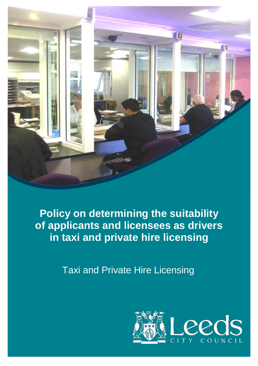

**Policy on determining the suitability of applicants and licensees as drivers in taxi and private hire licensing**

Taxi and Private Hire Licensing

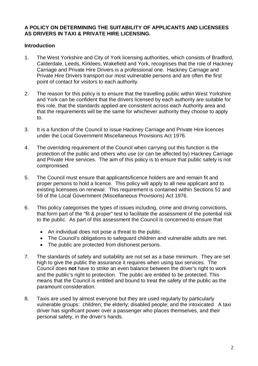## **A POLICY ON DETERMINING THE SUITABILITY OF APPLICANTS AND LICENSEES AS DRIVERS IN TAXI & PRIVATE HIRE LICENSING.**

## **Introduction**

- 1. The West Yorkshire and City of York licensing authorities, which consists of Bradford, Calderdale, Leeds, Kirklees, Wakefield and York, recognises that the role of Hackney Carriage and Private Hire Drivers is a professional one. Hackney Carriage and Private Hire Drivers transport our most vulnerable persons and are often the first point of contact for visitors to each authority.
- 2. The reason for this policy is to ensure that the travelling public within West Yorkshire and York can be confident that the drivers licensed by each authority are suitable for this role, that the standards applied are consistent across each Authority area and that the requirements will be the same for whichever authority they choose to apply to.
- 3. It is a function of the Council to issue Hackney Carriage and Private Hire licences under the Local Government Miscellaneous Provisions Act 1976.
- 4. The overriding requirement of the Council when carrying out this function is the protection of the public and others who use (or can be affected by) Hackney Carriage and Private Hire services. The aim of this policy is to ensure that public safety is not compromised.
- 5. The Council must ensure that applicants/licence holders are and remain fit and proper persons to hold a licence. This policy will apply to all new applicant and to existing licensees on renewal. This requirement is contained within Sections 51 and 59 of the Local Government (Miscellaneous Provisions) Act 1976.
- 6. This policy categorises the types of issues including, crime and driving convictions, that form part of the "fit & proper" test to facilitate the assessment of the potential risk to the public. As part of this assessment the Council is concerned to ensure that
	- An individual does not pose a threat to the public.
	- The Council's obligations to safeguard children and vulnerable adults are met.
	- The public are protected from dishonest persons.
- 7. The standards of safety and suitability are not set as a base minimum. They are set high to give the public the assurance it requires when using taxi services. The Council does **not** have to strike an even balance between the driver's right to work and the public's right to protection. The public are entitled to be protected. This means that the Council is entitled and bound to treat the safety of the public as the paramount consideration.
- 8. Taxis are used by almost everyone but they are used regularly by particularly vulnerable groups: children; the elderly; disabled people; and the intoxicated. A taxi driver has significant power over a passenger who places themselves, and their personal safety, in the driver's hands.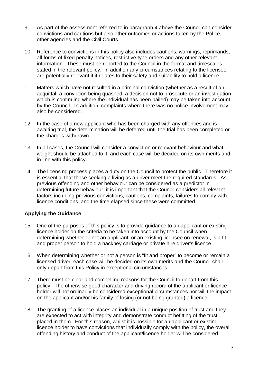- 9. As part of the assessment referred to in paragraph 4 above the Council can consider convictions and cautions but also other outcomes or actions taken by the Police, other agencies and the Civil Courts.
- 10. Reference to convictions in this policy also includes cautions, warnings, reprimands, all forms of fixed penalty notices, restrictive type orders and any other relevant information. These must be reported to the Council in the format and timescales stated in the relevant policy. In addition any circumstances relating to the licensee are potentially relevant if it relates to their safety and suitability to hold a licence.
- 11. Matters which have not resulted in a criminal conviction (whether as a result of an acquittal, a conviction being quashed, a decision not to prosecute or an investigation which is continuing where the individual has been bailed) may be taken into account by the Council. In addition, complaints where there was no police involvement may also be considered.
- 12. In the case of a new applicant who has been charged with any offences and is awaiting trial, the determination will be deferred until the trial has been completed or the charges withdrawn.
- 13. In all cases, the Council will consider a conviction or relevant behaviour and what weight should be attached to it, and each case will be decided on its own merits and in line with this policy.
- 14. The licensing process places a duty on the Council to protect the public. Therefore it is essential that those seeking a living as a driver meet the required standards. As previous offending and other behaviour can be considered as a predictor in determining future behaviour, it is important that the Council considers all relevant factors including previous convictions, cautions, complaints, failures to comply with licence conditions, and the time elapsed since these were committed.

# **Applying the Guidance**

- 15. One of the purposes of this policy is to provide guidance to an applicant or existing licence holder on the criteria to be taken into account by the Council when determining whether or not an applicant, or an existing licensee on renewal, is a fit and proper person to hold a hackney carriage or private hire driver's licence.
- 16. When determining whether or not a person is "fit and proper" to become or remain a licensed driver, each case will be decided on its own merits and the Council shall only depart from this Policy in exceptional circumstances.
- 17. There must be clear and compelling reasons for the Council to depart from this policy. The otherwise good character and driving record of the applicant or licence holder will not ordinarily be considered exceptional circumstances nor will the impact on the applicant and/or his family of losing (or not being granted) a licence.
- 18. The granting of a licence places an individual in a unique position of trust and they are expected to act with integrity and demonstrate conduct befitting of the trust placed in them. For this reason, whilst it is possible for an applicant or existing licence holder to have convictions that individually comply with the policy, the overall offending history and conduct of the applicant/licence holder will be considered.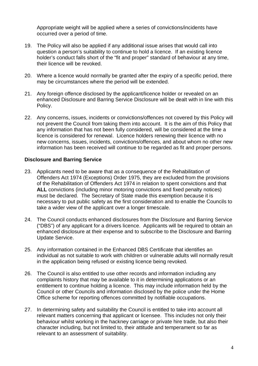Appropriate weight will be applied where a series of convictions/incidents have occurred over a period of time.

- 19. The Policy will also be applied if any additional issue arises that would call into question a person's suitability to continue to hold a licence. If an existing licence holder's conduct falls short of the "fit and proper" standard of behaviour at any time, their licence will be revoked.
- 20. Where a licence would normally be granted after the expiry of a specific period, there may be circumstances where the period will be extended.
- 21. Any foreign offence disclosed by the applicant/licence holder or revealed on an enhanced Disclosure and Barring Service Disclosure will be dealt with in line with this Policy.
- 22. Any concerns, issues, incidents or convictions/offences not covered by this Policy will not prevent the Council from taking them into account. It is the aim of this Policy that any information that has not been fully considered, will be considered at the time a licence is considered for renewal. Licence holders renewing their licence with no new concerns, issues, incidents, convictions/offences, and about whom no other new information has been received will continue to be regarded as fit and proper persons.

#### **Disclosure and Barring Service**

- 23. Applicants need to be aware that as a consequence of the Rehabilitation of Offenders Act 1974 (Exceptions) Order 1975, they are excluded from the provisions of the Rehabilitation of Offenders Act 1974 in relation to spent convictions and that **ALL** convictions (including minor motoring convictions and fixed penalty notices) must be declared. The Secretary of State made this exemption because it is necessary to put public safety as the first consideration and to enable the Councils to take a wider view of the applicant over a longer timescale.
- 24. The Council conducts enhanced disclosures from the Disclosure and Barring Service ("DBS") of any applicant for a drivers licence. Applicants will be required to obtain an enhanced disclosure at their expense and to subscribe to the Disclosure and Barring Update Service.
- 25. Any information contained in the Enhanced DBS Certificate that identifies an individual as not suitable to work with children or vulnerable adults will normally result in the application being refused or existing licence being revoked.
- 26. The Council is also entitled to use other records and information including any complaints history that may be available to it in determining applications or an entitlement to continue holding a licence. This may include information held by the Council or other Councils and information disclosed by the police under the Home Office scheme for reporting offences committed by notifiable occupations.
- 27. In determining safety and suitability the Council is entitled to take into account all relevant matters concerning that applicant or licensee. This includes not only their behaviour whilst working in the hackney carriage or private hire trade, but also their character including, but not limited to, their attitude and temperament so far as relevant to an assessment of suitability.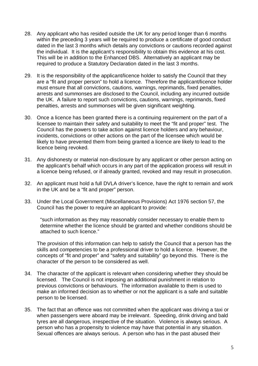- 28. Any applicant who has resided outside the UK for any period longer than 6 months within the preceding 3 years will be required to produce a certificate of good conduct dated in the last 3 months which details any convictions or cautions recorded against the individual. It is the applicant's responsibility to obtain this evidence at his cost. This will be in addition to the Enhanced DBS. Alternatively an applicant may be required to produce a Statutory Declaration dated in the last 3 months.
- 29. It is the responsibility of the applicant/licence holder to satisfy the Council that they are a "fit and proper person" to hold a licence. Therefore the applicant/licence holder must ensure that all convictions, cautions, warnings, reprimands, fixed penalties, arrests and summonses are disclosed to the Council, including any incurred outside the UK. A failure to report such convictions, cautions, warnings, reprimands, fixed penalties, arrests and summonses will be given significant weighting.
- 30. Once a licence has been granted there is a continuing requirement on the part of a licensee to maintain their safety and suitability to meet the "fit and proper" test. The Council has the powers to take action against licence holders and any behaviour, incidents, convictions or other actions on the part of the licensee which would be likely to have prevented them from being granted a licence are likely to lead to the licence being revoked.
- 31. Any dishonesty or material non-disclosure by any applicant or other person acting on the applicant's behalf which occurs in any part of the application process will result in a licence being refused, or if already granted, revoked and may result in prosecution.
- 32. An applicant must hold a full DVLA driver's licence, have the right to remain and work in the UK and be a "fit and proper" person.
- 33. Under the Local Government (Miscellaneous Provisions) Act 1976 section 57, the Council has the power to require an applicant to provide:

"such information as they may reasonably consider necessary to enable them to determine whether the licence should be granted and whether conditions should be attached to such licence."

The provision of this information can help to satisfy the Council that a person has the skills and competencies to be a professional driver to hold a licence. However, the concepts of "fit and proper" and "safety and suitability" go beyond this. There is the character of the person to be considered as well.

- 34. The character of the applicant is relevant when considering whether they should be licensed. The Council is not imposing an additional punishment in relation to previous convictions or behaviours. The information available to them is used to make an informed decision as to whether or not the applicant is a safe and suitable person to be licensed.
- 35. The fact that an offence was not committed when the applicant was driving a taxi or when passengers were aboard may be irrelevant. Speeding, drink driving and bald tyres are all dangerous, irrespective of the situation. Violence is always serious. A person who has a propensity to violence may have that potential in any situation. Sexual offences are always serious. A person who has in the past abused their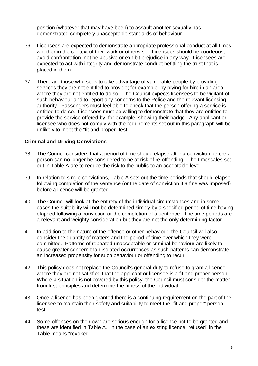position (whatever that may have been) to assault another sexually has demonstrated completely unacceptable standards of behaviour.

- 36. Licensees are expected to demonstrate appropriate professional conduct at all times, whether in the context of their work or otherwise. Licensees should be courteous, avoid confrontation, not be abusive or exhibit prejudice in any way. Licensees are expected to act with integrity and demonstrate conduct befitting the trust that is placed in them.
- 37. There are those who seek to take advantage of vulnerable people by providing services they are not entitled to provide; for example, by plying for hire in an area where they are not entitled to do so. The Council expects licensees to be vigilant of such behaviour and to report any concerns to the Police and the relevant licensing authority. Passengers must feel able to check that the person offering a service is entitled to do so. Licensees must be willing to demonstrate that they are entitled to provide the service offered by, for example, showing their badge. Any applicant or licensee who does not comply with the requirements set out in this paragraph will be unlikely to meet the "fit and proper" test.

#### **Criminal and Driving Convictions**

- 38. The Council considers that a period of time should elapse after a conviction before a person can no longer be considered to be at risk of re-offending. The timescales set out in Table A are to reduce the risk to the public to an acceptable level.
- 39. In relation to single convictions, Table A sets out the time periods that should elapse following completion of the sentence (or the date of conviction if a fine was imposed) before a licence will be granted.
- 40. The Council will look at the entirety of the individual circumstances and in some cases the suitability will not be determined simply by a specified period of time having elapsed following a conviction or the completion of a sentence. The time periods are a relevant and weighty consideration but they are not the only determining factor.
- 41. In addition to the nature of the offence or other behaviour, the Council will also consider the quantity of matters and the period of time over which they were committed. Patterns of repeated unacceptable or criminal behaviour are likely to cause greater concern than isolated occurrences as such patterns can demonstrate an increased propensity for such behaviour or offending to recur.
- 42. This policy does not replace the Council's general duty to refuse to grant a licence where they are not satisfied that the applicant or licensee is a fit and proper person. Where a situation is not covered by this policy, the Council must consider the matter from first principles and determine the fitness of the individual.
- 43. Once a licence has been granted there is a continuing requirement on the part of the licensee to maintain their safety and suitability to meet the "fit and proper" person test.
- 44. Some offences on their own are serious enough for a licence not to be granted and these are identified in Table A. In the case of an existing licence "refused" in the Table means "revoked".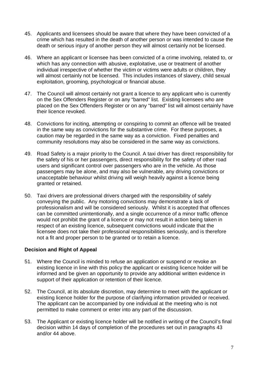- 45. Applicants and licensees should be aware that where they have been convicted of a crime which has resulted in the death of another person or was intended to cause the death or serious injury of another person they will almost certainly not be licensed.
- 46. Where an applicant or licensee has been convicted of a crime involving, related to, or which has any connection with abusive, exploitative, use or treatment of another individual irrespective of whether the victim or victims were adults or children, they will almost certainly not be licensed. This includes instances of slavery, child sexual exploitation, grooming, psychological or financial abuse.
- 47. The Council will almost certainly not grant a licence to any applicant who is currently on the Sex Offenders Register or on any "barred" list. Existing licensees who are placed on the Sex Offenders Register or on any "barred" list will almost certainly have their licence revoked.
- 48. Convictions for inciting, attempting or conspiring to commit an offence will be treated in the same way as convictions for the substantive crime. For these purposes, a caution may be regarded in the same way as a conviction. Fixed penalties and community resolutions may also be considered in the same way as convictions.
- 49. Road Safety is a major priority to the Council. A taxi driver has direct responsibility for the safety of his or her passengers, direct responsibility for the safety of other road users and significant control over passengers who are in the vehicle. As those passengers may be alone, and may also be vulnerable, any driving convictions or unacceptable behaviour whilst driving will weigh heavily against a licence being granted or retained.
- 50. Taxi drivers are professional drivers charged with the responsibility of safely conveying the public. Any motoring convictions may demonstrate a lack of professionalism and will be considered seriously. Whilst it is accepted that offences can be committed unintentionally, and a single occurrence of a minor traffic offence would not prohibit the grant of a licence or may not result in action being taken in respect of an existing licence, subsequent convictions would indicate that the licensee does not take their professional responsibilities seriously, and is therefore not a fit and proper person to be granted or to retain a licence.

# **Decision and Right of Appeal**

- 51. Where the Council is minded to refuse an application or suspend or revoke an existing licence in line with this policy the applicant or existing licence holder will be informed and be given an opportunity to provide any additional written evidence in support of their application or retention of their licence.
- 52. The Council, at its absolute discretion, may determine to meet with the applicant or existing licence holder for the purpose of clarifying information provided or received. The applicant can be accompanied by one individual at the meeting who is not permitted to make comment or enter into any part of the discussion.
- 53. The Applicant or existing licence holder will be notified in writing of the Council's final decision within 14 days of completion of the procedures set out in paragraphs 43 and/or 44 above.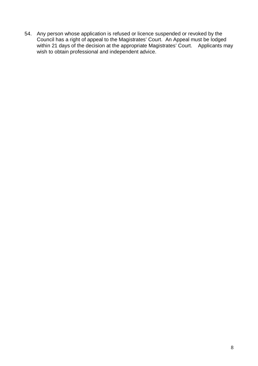54. Any person whose application is refused or licence suspended or revoked by the Council has a right of appeal to the Magistrates' Court. An Appeal must be lodged within 21 days of the decision at the appropriate Magistrates' Court. Applicants may when  $\frac{1}{2}$ , and is a second at the appropriate magnitude wish to obtain professional and independent advice.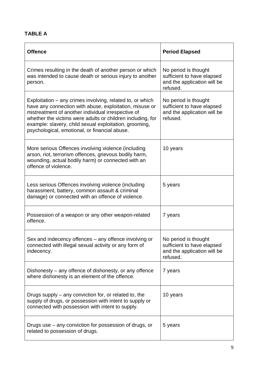# **TABLE A**

| <b>Offence</b>                                                                                                                                                                                                                                                                                                                                      | <b>Period Elapsed</b>                                                                         |
|-----------------------------------------------------------------------------------------------------------------------------------------------------------------------------------------------------------------------------------------------------------------------------------------------------------------------------------------------------|-----------------------------------------------------------------------------------------------|
| Crimes resulting in the death of another person or which<br>was intended to cause death or serious injury to another<br>person.                                                                                                                                                                                                                     | No period is thought<br>sufficient to have elapsed<br>and the application will be<br>refused. |
| Exploitation – any crimes involving, related to, or which<br>have any connection with abuse, exploitation, misuse or<br>mistreatment of another individual irrespective of<br>whether the victims were adults or children including, for<br>example: slavery, child sexual exploitation, grooming,<br>psychological, emotional, or financial abuse. | No period is thought<br>sufficient to have elapsed<br>and the application will be<br>refused. |
| More serious Offences involving violence (including<br>arson, riot, terrorism offences, grievous bodily harm,<br>wounding, actual bodily harm) or connected with an<br>offence of violence.                                                                                                                                                         | 10 years                                                                                      |
| Less serious Offences involving violence (including<br>harassment, battery, common assault & criminal<br>damage) or connected with an offence of violence.                                                                                                                                                                                          | 5 years                                                                                       |
| Possession of a weapon or any other weapon-related<br>offence.                                                                                                                                                                                                                                                                                      | 7 years                                                                                       |
| Sex and indecency offences - any offence involving or<br>connected with illegal sexual activity or any form of<br>indecency.                                                                                                                                                                                                                        | No period is thought<br>sufficient to have elapsed<br>and the application will be<br>refused. |
| Dishonesty – any offence of dishonesty, or any offence<br>where dishonesty is an element of the offence.                                                                                                                                                                                                                                            | 7 years                                                                                       |
| Drugs supply – any conviction for, or related to, the<br>supply of drugs, or possession with intent to supply or<br>connected with possession with intent to supply.                                                                                                                                                                                | 10 years                                                                                      |
| Drugs use – any conviction for possession of drugs, or<br>related to possession of drugs.                                                                                                                                                                                                                                                           | 5 years                                                                                       |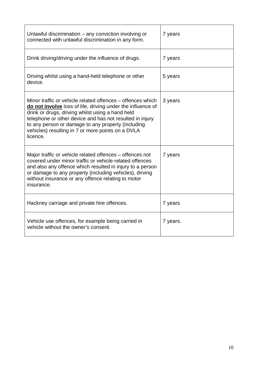| Unlawful discrimination - any conviction involving or<br>connected with unlawful discrimination in any form.                                                                                                                                                                                                                                                     | 7 years  |
|------------------------------------------------------------------------------------------------------------------------------------------------------------------------------------------------------------------------------------------------------------------------------------------------------------------------------------------------------------------|----------|
| Drink driving/driving under the influence of drugs.                                                                                                                                                                                                                                                                                                              | 7 years  |
| Driving whilst using a hand-held telephone or other<br>device.                                                                                                                                                                                                                                                                                                   | 5 years  |
| Minor traffic or vehicle related offences – offences which<br>do not involve loss of life, driving under the influence of<br>drink or drugs, driving whilst using a hand held<br>telephone or other device and has not resulted in injury<br>to any person or damage to any property (including<br>vehicles) resulting in 7 or more points on a DVLA<br>licence. | 3 years  |
| Major traffic or vehicle related offences – offences not<br>covered under minor traffic or vehicle-related offences<br>and also any offence which resulted in injury to a person<br>or damage to any property (including vehicles), driving<br>without insurance or any offence relating to motor<br>insurance.                                                  | 7 years  |
| Hackney carriage and private hire offences.                                                                                                                                                                                                                                                                                                                      | 7 years  |
| Vehicle use offences, for example being carried in<br>vehicle without the owner's consent.                                                                                                                                                                                                                                                                       | 7 years. |